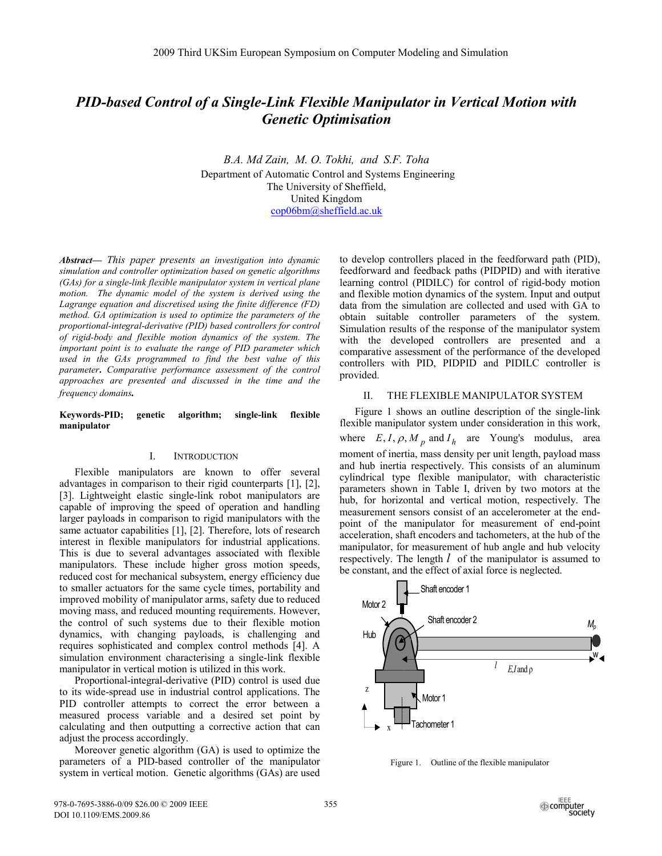# *PID-based Control of a Single-Link Flexible Manipulator in Vertical Motion with Genetic Optimisation*

*B.A. Md Zain, M. O. Tokhi, and S.F. Toha*  Department of Automatic Control and Systems Engineering The University of Sheffield, United Kingdom cop06bm@sheffield.ac.uk

*Abstract***—** *This paper presents an investigation into dynamic simulation and controller optimization based on genetic algorithms (GAs) for a single-link flexible manipulator system in vertical plane motion. The dynamic model of the system is derived using the Lagrange equation and discretised using the finite difference (FD) method. GA optimization is used to optimize the parameters of the proportional-integral-derivative (PID) based controllers for control of rigid-body and flexible motion dynamics of the system. The important point is to evaluate the range of PID parameter which used in the GAs programmed to find the best value of this parameter***.** *Comparative performance assessment of the control approaches are presented and discussed in the time and the frequency domains.* 

# **Keywords-PID; genetic algorithm; single-link flexible manipulator**

## I. INTRODUCTION

Flexible manipulators are known to offer several advantages in comparison to their rigid counterparts [1], [2], [3]. Lightweight elastic single-link robot manipulators are capable of improving the speed of operation and handling larger payloads in comparison to rigid manipulators with the same actuator capabilities [1], [2]. Therefore, lots of research interest in flexible manipulators for industrial applications. This is due to several advantages associated with flexible manipulators. These include higher gross motion speeds, reduced cost for mechanical subsystem, energy efficiency due to smaller actuators for the same cycle times, portability and improved mobility of manipulator arms, safety due to reduced moving mass, and reduced mounting requirements. However, the control of such systems due to their flexible motion dynamics, with changing payloads, is challenging and requires sophisticated and complex control methods [4]. A simulation environment characterising a single-link flexible manipulator in vertical motion is utilized in this work.

Proportional-integral-derivative (PID) control is used due to its wide-spread use in industrial control applications. The PID controller attempts to correct the error between a measured process variable and a desired set point by calculating and then outputting a corrective action that can adjust the process accordingly.

Moreover genetic algorithm (GA) is used to optimize the parameters of a PID-based controller of the manipulator system in vertical motion. Genetic algorithms (GAs) are used

to develop controllers placed in the feedforward path (PID), feedforward and feedback paths (PIDPID) and with iterative learning control (PIDILC) for control of rigid-body motion and flexible motion dynamics of the system. Input and output data from the simulation are collected and used with GA to obtain suitable controller parameters of the system. Simulation results of the response of the manipulator system with the developed controllers are presented and a comparative assessment of the performance of the developed controllers with PID, PIDPID and PIDILC controller is provided.

## II. THE FLEXIBLE MANIPULATOR SYSTEM

Figure 1 shows an outline description of the single-link flexible manipulator system under consideration in this work, where  $E, I, \rho, M_p$  and  $I_h$  are Young's modulus, area moment of inertia, mass density per unit length, payload mass and hub inertia respectively. This consists of an aluminum cylindrical type flexible manipulator, with characteristic parameters shown in Table I, driven by two motors at the hub, for horizontal and vertical motion, respectively. The measurement sensors consist of an accelerometer at the endpoint of the manipulator for measurement of end-point acceleration, shaft encoders and tachometers, at the hub of the manipulator, for measurement of hub angle and hub velocity respectively. The length *l* of the manipulator is assumed to be constant, and the effect of axial force is neglected.



Figure 1. Outline of the flexible manipulator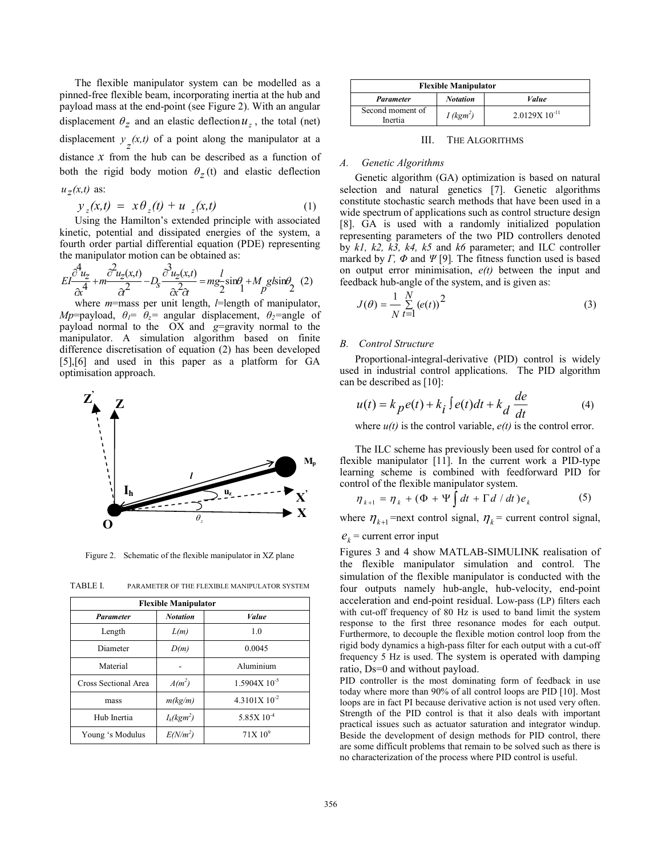The flexible manipulator system can be modelled as a pinned-free flexible beam, incorporating inertia at the hub and payload mass at the end-point (see Figure 2). With an angular displacement  $\theta_z$  and an elastic deflection  $u_z$ , the total (net) displacement  $y_z(x,t)$  of a point along the manipulator at a distance  $x$  from the hub can be described as a function of both the rigid body motion  $\theta_z$  (t) and elastic deflection  $u_z(x,t)$  as:

$$
y_z(x,t) = x\theta_z(t) + u_z(x,t) \tag{1}
$$

Using the Hamilton's extended principle with associated kinetic, potential and dissipated energies of the system, a fourth order partial differential equation (PDE) representing the manipulator motion can be obtained as:

$$
EI\frac{\partial^4 u_z}{\partial x^4} + m\frac{\partial^2 u_z(x,t)}{\partial t^2} - D_s \frac{\partial^3 u_z(x,t)}{\partial x^2} = mg\frac{l}{2}\sin\theta_l + Mg\sin\theta_l \tag{2}
$$

where *m*=mass per unit length, *l*=length of manipulator, *Mp*=payload,  $\theta$ <sup>*z*</sup>  $= \theta$ <sup>*z*</sup> angular displacement,  $\theta$ <sup>2</sup> = angle of payload normal to the OX and *g*=gravity normal to the manipulator. A simulation algorithm based on finite difference discretisation of equation (2) has been developed [5],[6] and used in this paper as a platform for GA optimisation approach.



Figure 2. Schematic of the flexible manipulator in XZ plane

| TABLE I. |  |  | PARAMETER OF THE FLEXIBLE MANIPULATOR SYSTEM |
|----------|--|--|----------------------------------------------|
|----------|--|--|----------------------------------------------|

| <b>Flexible Manipulator</b> |                 |                     |  |  |
|-----------------------------|-----------------|---------------------|--|--|
| <b>Parameter</b>            | <b>Notation</b> | <i>Value</i>        |  |  |
| Length                      | L(m)            | 1.0                 |  |  |
| Diameter                    | D(m)            | 0.0045              |  |  |
| Material                    |                 | Aluminium           |  |  |
| Cross Sectional Area        | $A(m^2)$        | $1.5904X$ $10^{-5}$ |  |  |
| mass                        | m(kg/m)         | $4.3101X10^{-2}$    |  |  |
| Hub Inertia                 | $I_h(kgm^2)$    | $5.85X$ $10^{-4}$   |  |  |
| Young 's Modulus            | $E(N/m^2)$      | $71X10^{9}$         |  |  |

| <b>Flexible Manipulator</b>                         |                         |                   |  |
|-----------------------------------------------------|-------------------------|-------------------|--|
| <b>Notation</b><br><i>Value</i><br><b>Parameter</b> |                         |                   |  |
| Second moment of<br>Inertia                         | $I$ (kgm <sup>2</sup> ) | $2.0129X10^{-11}$ |  |

III. THE ALGORITHMS

#### *A. Genetic Algorithms*

Genetic algorithm (GA) optimization is based on natural selection and natural genetics [7]. Genetic algorithms constitute stochastic search methods that have been used in a wide spectrum of applications such as control structure design [8]. GA is used with a randomly initialized population representing parameters of the two PID controllers denoted by *k1, k2, k3, k4, k5* and *k6* parameter; and ILC controller marked by *Γ, Φ* and *Ψ* [9]*.* The fitness function used is based on output error minimisation, *e(t)* between the input and feedback hub-angle of the system, and is given as:

$$
J(\theta) = \frac{1}{N} \sum_{t=1}^{N} (e(t))^2
$$
 (3)

### *B. Control Structure*

Proportional-integral-derivative (PID) control is widely used in industrial control applications. The PID algorithm can be described as [10]:

$$
u(t) = k_p e(t) + k_i \int e(t)dt + k_d \frac{de}{dt}
$$
 (4)

where  $u(t)$  is the control variable,  $e(t)$  is the control error.

The ILC scheme has previously been used for control of a flexible manipulator [11]. In the current work a PID-type learning scheme is combined with feedforward PID for control of the flexible manipulator system.

$$
\eta_{k+1} = \eta_k + (\Phi + \Psi \int dt + \Gamma d/dt) e_k \tag{5}
$$

where  $\eta_{k+1}$ =next control signal,  $\eta_k$ = current control signal,

# $e_k$  = current error input

Figures 3 and 4 show MATLAB-SIMULINK realisation of the flexible manipulator simulation and control. The simulation of the flexible manipulator is conducted with the four outputs namely hub-angle, hub-velocity, end-point acceleration and end-point residual. Low-pass (LP) filters each with cut-off frequency of 80 Hz is used to band limit the system response to the first three resonance modes for each output. Furthermore, to decouple the flexible motion control loop from the rigid body dynamics a high-pass filter for each output with a cut-off frequency 5 Hz is used. The system is operated with damping ratio, Ds=0 and without payload.

PID controller is the most dominating form of feedback in use today where more than 90% of all control loops are PID [10]. Most loops are in fact PI because derivative action is not used very often. Strength of the PID control is that it also deals with important practical issues such as actuator saturation and integrator windup. Beside the development of design methods for PID control, there are some difficult problems that remain to be solved such as there is no characterization of the process where PID control is useful.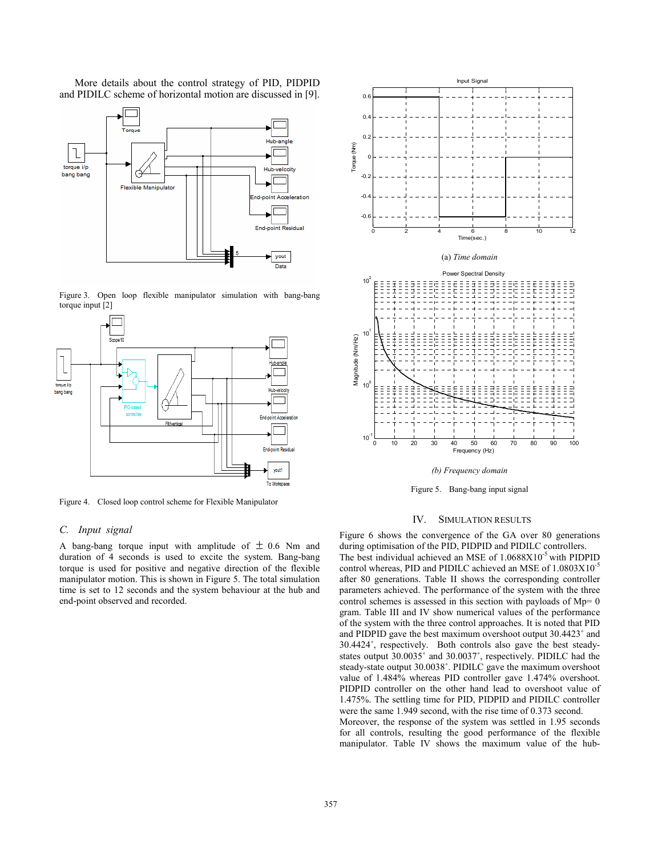More details about the control strategy of PID, PIDPID and PIDILC scheme of horizontal motion are discussed in [9].



Figure 3. Open loop flexible manipulator simulation with bang-bang torque input [2]



Figure 4. Closed loop control scheme for Flexible Manipulator

# *C. Input signal*

A bang-bang torque input with amplitude of  $\pm$  0.6 Nm and duration of 4 seconds is used to excite the system. Bang-bang torque is used for positive and negative direction of the flexible manipulator motion. This is shown in Figure 5. The total simulation time is set to 12 seconds and the system behaviour at the hub and end-point observed and recorded.



Figure 5. Bang-bang input signal

### IV. SIMULATION RESULTS

Figure 6 shows the convergence of the GA over 80 generations during optimisation of the PID, PIDPID and PIDILC controllers. The best individual achieved an MSE of 1.0688X10<sup>-5</sup> with PIDPID control whereas, PID and PIDILC achieved an MSE of 1.0803X10<sup>-5</sup> after 80 generations. Table II shows the corresponding controller parameters achieved. The performance of the system with the three control schemes is assessed in this section with payloads of Mp= 0 gram. Table III and IV show numerical values of the performance of the system with the three control approaches. It is noted that PID and PIDPID gave the best maximum overshoot output 30.4423˚ and 30.4424˚, respectively. Both controls also gave the best steadystates output 30.0035˚ and 30.0037˚, respectively. PIDILC had the steady-state output 30.0038˚. PIDILC gave the maximum overshoot value of 1.484% whereas PID controller gave 1.474% overshoot. PIDPID controller on the other hand lead to overshoot value of 1.475%. The settling time for PID, PIDPID and PIDILC controller were the same 1.949 second, with the rise time of 0.373 second. Moreover, the response of the system was settled in 1.95 seconds for all controls, resulting the good performance of the flexible manipulator. Table IV shows the maximum value of the hub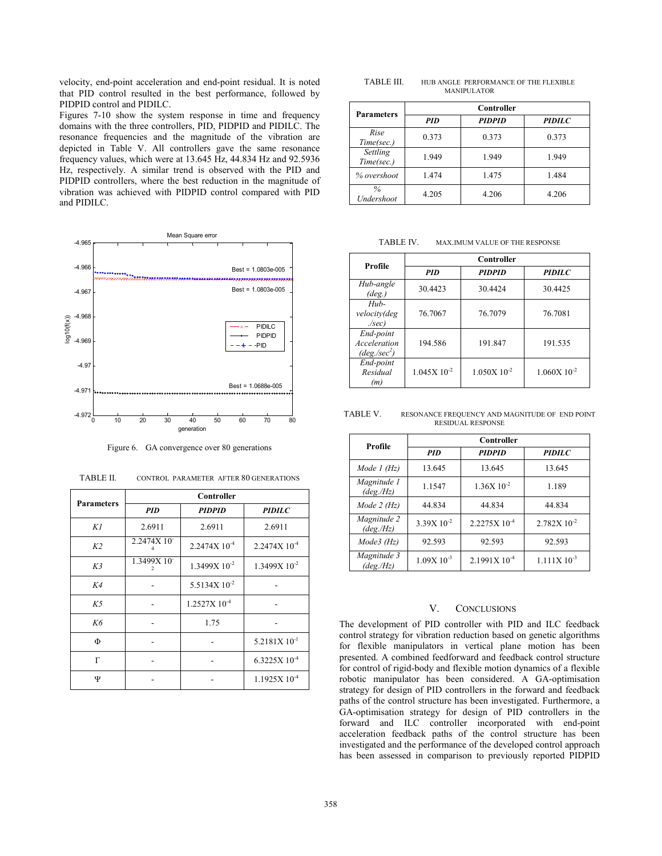velocity, end-point acceleration and end-point residual. It is noted that PID control resulted in the best performance, followed by PIDPID control and PIDILC.

Figures 7-10 show the system response in time and frequency domains with the three controllers, PID, PIDPID and PIDILC. The resonance frequencies and the magnitude of the vibration are depicted in Table V. All controllers gave the same resonance frequency values, which were at 13.645 Hz, 44.834 Hz and 92.5936 Hz, respectively. A similar trend is observed with the PID and PIDPID controllers, where the best reduction in the magnitude of vibration was achieved with PIDPID control compared with PID and PIDILC.



Figure 6. GA convergence over 80 generations

| <b>Parameters</b> | Controller                   |                     |                     |  |
|-------------------|------------------------------|---------------------|---------------------|--|
|                   | <b>PID</b>                   | <b>PIDPID</b>       | <b>PIDILC</b>       |  |
| K1                | 2.6911                       | 2.6911              | 2.6911              |  |
| K <sub>2</sub>    | 2.2474X 10                   | $2.2474X$ $10^{-4}$ | $2.2474X10^{-4}$    |  |
| K3                | 1.3499X 10 <sup>-</sup><br>2 | $1.3499X10^{-2}$    | $1.3499X$ $10^{-2}$ |  |
| K4                |                              | $5.5134X10^{-2}$    |                     |  |
| K <sub>5</sub>    |                              | $1.2527X$ $10^{-4}$ |                     |  |
| K6                |                              | 1.75                |                     |  |
| Ф                 |                              |                     | $5.2181X10^{-1}$    |  |
| Г                 |                              |                     | $6.3225X$ $10^{-4}$ |  |
| Ψ                 |                              |                     | $1.1925X10^{-4}$    |  |

TABLE II. CONTROL PARAMETER AFTER 80 GENERATIONS

#### TABLE III. HUB ANGLE PERFORMANCE OF THE FLEXIBLE MANIPULATOR

| <b>Parameters</b>      | Controller |               |               |  |
|------------------------|------------|---------------|---------------|--|
|                        | <b>PID</b> | <b>PIDPID</b> | <b>PIDILC</b> |  |
| Rise<br>Time(sec.)     | 0.373      | 0.373         | 0.373         |  |
| Settling<br>Time(sec.) | 1.949      | 1.949         | 1.949         |  |
| % overshoot            | 1.474      | 1.475         | 1.484         |  |
| $\%$<br>Undershoot     | 4.205      | 4.206         | 4.206         |  |

| <b>TABLE IV.</b> |  |  | <b>MAX.IMUM VALUE OF THE RESPONSE</b> |
|------------------|--|--|---------------------------------------|
|------------------|--|--|---------------------------------------|

| Profile                                                   | Controller         |                    |                 |  |
|-----------------------------------------------------------|--------------------|--------------------|-----------------|--|
|                                                           | <b>PID</b>         | <b>PIDPID</b>      | <b>PIDILC</b>   |  |
| Hub-angle<br>$(\text{deg.})$                              | 30.4423            | 30.4424            | 30.4425         |  |
| $Huh-$<br>velocity(deg<br>./sec)                          | 76.7067            | 76.7079            | 76.7081         |  |
| End-point<br>Acceleration<br>$(\text{deg.}/\text{sec}^2)$ | 194.586            | 191.847            | 191.535         |  |
| End-point<br>Residual<br>(m)                              | $1.045X$ $10^{-2}$ | $1.050X$ $10^{-2}$ | $1.060X10^{-2}$ |  |

TABLE V. RESONANCE FREQUENCY AND MAGNITUDE OF END POINT RESIDUAL RESPONSE

| Profile                                  | Controller        |                          |                 |  |
|------------------------------------------|-------------------|--------------------------|-----------------|--|
|                                          | <b>PID</b>        | <b>PIDPID</b>            | <b>PIDILC</b>   |  |
| Mode $1$ (Hz)                            | 13.645            | 13.645                   | 13.645          |  |
| Magnitude 1<br>$(\text{deg.}/\text{Hz})$ | 1.1547            | $1.36X$ $10^{-2}$        | 1.189           |  |
| Mode $2$ (Hz)                            | 44.834            | 44.834                   | 44.834          |  |
| Magnitude 2<br>$(\text{deg.}/\text{Hz})$ | $3.39X$ $10^{-2}$ | 2.2275X 10 <sup>-4</sup> | $2.782X10^{-2}$ |  |
| $Mode3$ (Hz)                             | 92.593            | 92.593                   | 92.593          |  |
| Magnitude 3<br>$(\text{deg.}/\text{Hz})$ | $1.09X10^{-3}$    | 2.1991X 10 <sup>-4</sup> | $1.111X10^{-3}$ |  |

# V. CONCLUSIONS

The development of PID controller with PID and ILC feedback control strategy for vibration reduction based on genetic algorithms for flexible manipulators in vertical plane motion has been presented. A combined feedforward and feedback control structure for control of rigid-body and flexible motion dynamics of a flexible robotic manipulator has been considered. A GA-optimisation strategy for design of PID controllers in the forward and feedback paths of the control structure has been investigated. Furthermore, a GA-optimisation strategy for design of PID controllers in the forward and ILC controller incorporated with end-point acceleration feedback paths of the control structure has been investigated and the performance of the developed control approach has been assessed in comparison to previously reported PIDPID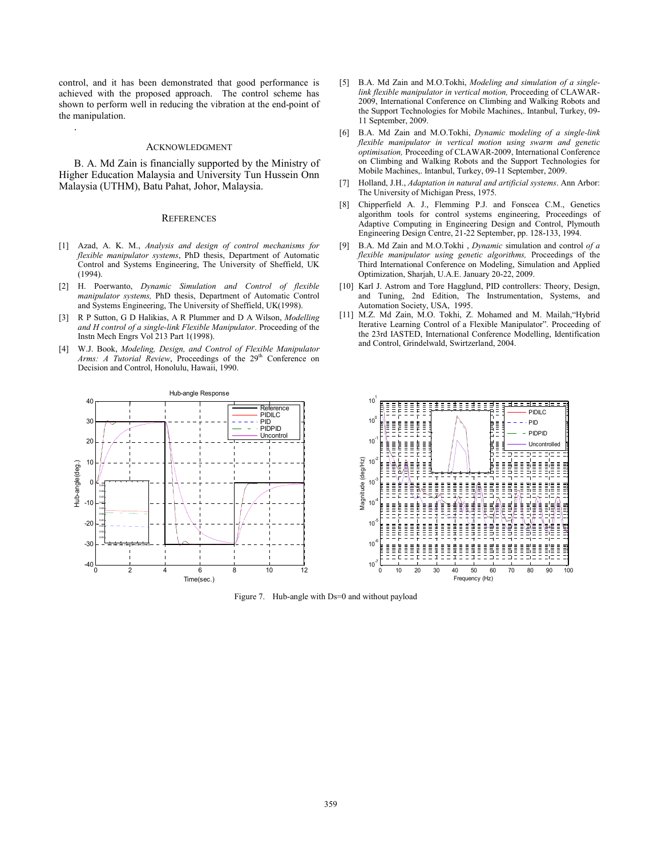control, and it has been demonstrated that good performance is achieved with the proposed approach. The control scheme has shown to perform well in reducing the vibration at the end-point of the manipulation.

#### ACKNOWLEDGMENT

.

B. A. Md Zain is financially supported by the Ministry of Higher Education Malaysia and University Tun Hussein Onn Malaysia (UTHM), Batu Pahat, Johor, Malaysia.

#### **REFERENCES**

- [1] Azad, A. K. M., *Analysis and design of control mechanisms for flexible manipulator systems*, PhD thesis, Department of Automatic Control and Systems Engineering, The University of Sheffield, UK (1994).
- [2] H. Poerwanto, *Dynamic Simulation and Control of flexible manipulator systems,* PhD thesis, Department of Automatic Control and Systems Engineering, The University of Sheffield, UK(1998).
- [3] R P Sutton, G D Halikias, A R Plummer and D A Wilson, *Modelling and H control of a single-link Flexible Manipulator*. Proceeding of the Instn Mech Engrs Vol 213 Part 1(1998).
- [4] W.J. Book, *Modeling, Design, and Control of Flexible Manipulator Arms: A Tutorial Review*, Proceedings of the 29<sup>th</sup> Conference on Decision and Control, Honolulu, Hawaii, 1990.
- [5] B.A. Md Zain and M.O.Tokhi, *Modeling and simulation of a singlelink flexible manipulator in vertical motion,* Proceeding of CLAWAR-2009, International Conference on Climbing and Walking Robots and the Support Technologies for Mobile Machines,. Intanbul, Turkey, 09- 11 September, 2009.
- [6] B.A. Md Zain and M.O.Tokhi, *Dynamic* m*odeling of a single-link flexible manipulator in vertical motion using swarm and genetic optimisation,* Proceeding of CLAWAR-2009, International Conference on Climbing and Walking Robots and the Support Technologies for Mobile Machines,. Intanbul, Turkey, 09-11 September, 2009.
- [7] Holland, J.H., *Adaptation in natural and artificial systems*. Ann Arbor: The University of Michigan Press, 1975.
- [8] Chipperfield A. J., Flemming P.J. and Fonscea C.M., Genetics algorithm tools for control systems engineering, Proceedings of Adaptive Computing in Engineering Design and Control, Plymouth Engineering Design Centre, 21-22 September, pp. 128-133, 1994.
- [9] B.A. Md Zain and M.O.Tokhi , *Dynamic* simulation and control *of a flexible manipulator using genetic algorithms,* Proceedings of the Third International Conference on Modeling, Simulation and Applied Optimization, Sharjah, U.A.E. January 20-22, 2009.
- [10] Karl J. Astrom and Tore Hagglund, PID controllers: Theory, Design, and Tuning, 2nd Edition, The Instrumentation, Systems, and Automation Society, USA, 1995.
- [11] M.Z. Md Zain, M.O. Tokhi, Z. Mohamed and M. Mailah,"Hybrid Iterative Learning Control of a Flexible Manipulator". Proceeding of the 23rd IASTED, International Conference Modelling, Identification and Control, Grindelwald, Swirtzerland, 2004.



Figure 7. Hub-angle with Ds=0 and without payload